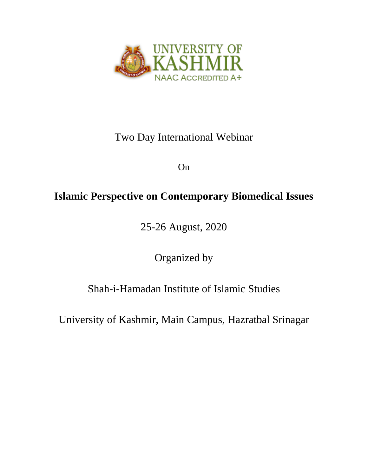

## Two Day International Webinar

On

## **Islamic Perspective on Contemporary Biomedical Issues**

25-26 August, 2020

Organized by

Shah-i-Hamadan Institute of Islamic Studies

University of Kashmir, Main Campus, Hazratbal Srinagar